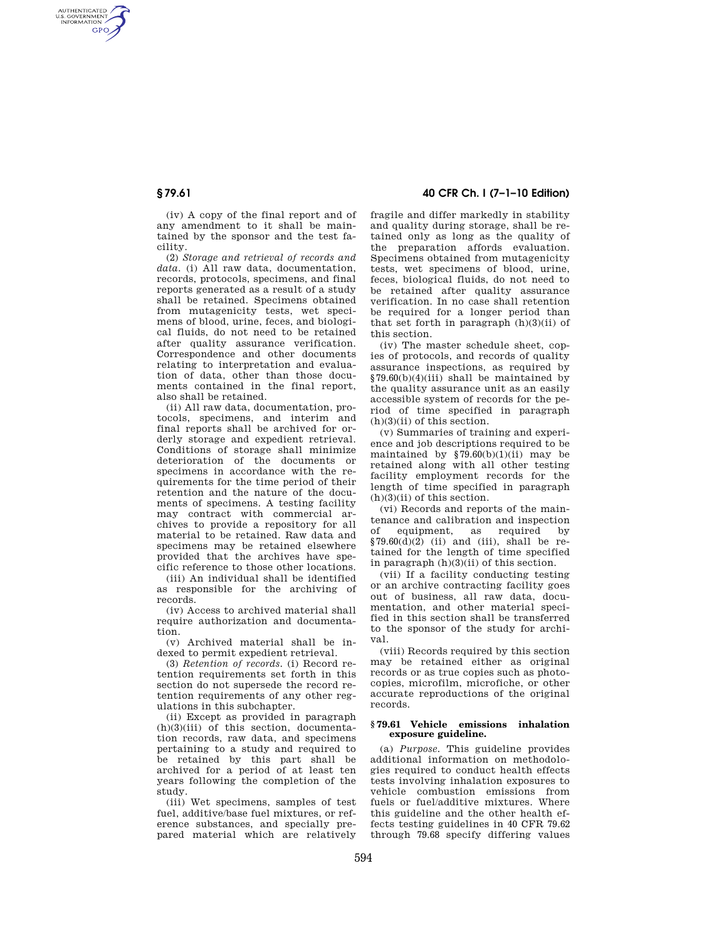AUTHENTICATED<br>U.S. GOVERNMENT<br>INFORMATION **GPO** 

> (iv) A copy of the final report and of any amendment to it shall be maintained by the sponsor and the test facility.

(2) *Storage and retrieval of records and data.* (i) All raw data, documentation, records, protocols, specimens, and final reports generated as a result of a study shall be retained. Specimens obtained from mutagenicity tests, wet specimens of blood, urine, feces, and biological fluids, do not need to be retained after quality assurance verification. Correspondence and other documents relating to interpretation and evaluation of data, other than those documents contained in the final report, also shall be retained.

(ii) All raw data, documentation, protocols, specimens, and interim and final reports shall be archived for orderly storage and expedient retrieval. Conditions of storage shall minimize deterioration of the documents or specimens in accordance with the requirements for the time period of their retention and the nature of the documents of specimens. A testing facility may contract with commercial archives to provide a repository for all material to be retained. Raw data and specimens may be retained elsewhere provided that the archives have specific reference to those other locations.

(iii) An individual shall be identified as responsible for the archiving of records.

(iv) Access to archived material shall require authorization and documentation.

(v) Archived material shall be indexed to permit expedient retrieval.

(3) *Retention of records.* (i) Record retention requirements set forth in this section do not supersede the record retention requirements of any other regulations in this subchapter.

(ii) Except as provided in paragraph (h)(3)(iii) of this section, documentation records, raw data, and specimens pertaining to a study and required to be retained by this part shall be archived for a period of at least ten years following the completion of the study.

(iii) Wet specimens, samples of test fuel, additive/base fuel mixtures, or reference substances, and specially prepared material which are relatively

# **§ 79.61 40 CFR Ch. I (7–1–10 Edition)**

fragile and differ markedly in stability and quality during storage, shall be retained only as long as the quality of the preparation affords evaluation. Specimens obtained from mutagenicity tests, wet specimens of blood, urine, feces, biological fluids, do not need to be retained after quality assurance verification. In no case shall retention be required for a longer period than that set forth in paragraph  $(h)(3)(ii)$  of this section.

(iv) The master schedule sheet, copies of protocols, and records of quality assurance inspections, as required by §79.60(b)(4)(iii) shall be maintained by the quality assurance unit as an easily accessible system of records for the period of time specified in paragraph (h)(3)(ii) of this section.

(v) Summaries of training and experience and job descriptions required to be maintained by  $$79.60(b)(1)(ii)$  may be retained along with all other testing facility employment records for the length of time specified in paragraph  $(h)(3)(ii)$  of this section.

(vi) Records and reports of the maintenance and calibration and inspection of equipment, as required by  $$79.60(\mathrm{d})(2)$  (ii) and (iii), shall be retained for the length of time specified in paragraph (h)(3)(ii) of this section.

(vii) If a facility conducting testing or an archive contracting facility goes out of business, all raw data, documentation, and other material specified in this section shall be transferred to the sponsor of the study for archival.

(viii) Records required by this section may be retained either as original records or as true copies such as photocopies, microfilm, microfiche, or other accurate reproductions of the original records.

#### **§ 79.61 Vehicle emissions inhalation exposure guideline.**

(a) *Purpose.* This guideline provides additional information on methodologies required to conduct health effects tests involving inhalation exposures to vehicle combustion emissions from fuels or fuel/additive mixtures. Where this guideline and the other health effects testing guidelines in 40 CFR 79.62 through 79.68 specify differing values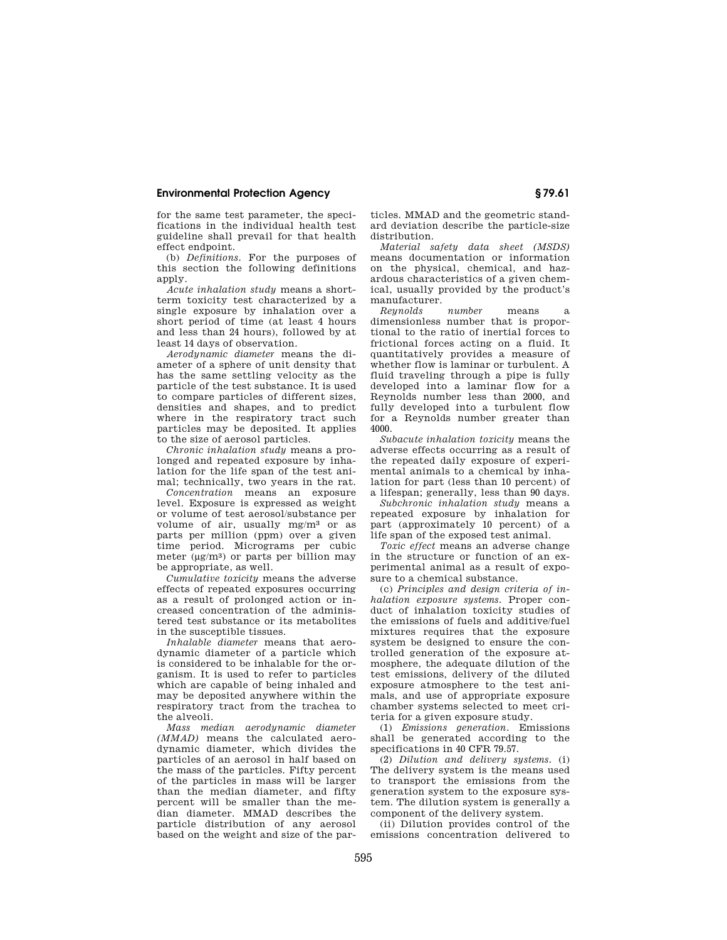for the same test parameter, the specifications in the individual health test guideline shall prevail for that health effect endpoint.

(b) *Definitions.* For the purposes of this section the following definitions apply.

*Acute inhalation study* means a shortterm toxicity test characterized by a single exposure by inhalation over a short period of time (at least 4 hours and less than 24 hours), followed by at least 14 days of observation.

*Aerodynamic diameter* means the diameter of a sphere of unit density that has the same settling velocity as the particle of the test substance. It is used to compare particles of different sizes, densities and shapes, and to predict where in the respiratory tract such particles may be deposited. It applies to the size of aerosol particles.

*Chronic inhalation study* means a prolonged and repeated exposure by inhalation for the life span of the test animal; technically, two years in the rat.

*Concentration* means an exposure level. Exposure is expressed as weight or volume of test aerosol/substance per volume of air, usually mg/m3 or as parts per million (ppm) over a given time period. Micrograms per cubic meter  $(\mu g/m^3)$  or parts per billion may be appropriate, as well.

*Cumulative toxicity* means the adverse effects of repeated exposures occurring as a result of prolonged action or increased concentration of the administered test substance or its metabolites in the susceptible tissues.

*Inhalable diameter* means that aerodynamic diameter of a particle which is considered to be inhalable for the organism. It is used to refer to particles which are capable of being inhaled and may be deposited anywhere within the respiratory tract from the trachea to the alveoli.

*Mass median aerodynamic diameter (MMAD)* means the calculated aerodynamic diameter, which divides the particles of an aerosol in half based on the mass of the particles. Fifty percent of the particles in mass will be larger than the median diameter, and fifty percent will be smaller than the median diameter. MMAD describes the particle distribution of any aerosol based on the weight and size of the par-

ticles. MMAD and the geometric standard deviation describe the particle-size distribution.

*Material safety data sheet (MSDS)*  means documentation or information on the physical, chemical, and hazardous characteristics of a given chemical, usually provided by the product's manufacturer.<br>Reunolds number

*Reynolds number* means a dimensionless number that is proportional to the ratio of inertial forces to frictional forces acting on a fluid. It quantitatively provides a measure of whether flow is laminar or turbulent. A fluid traveling through a pipe is fully developed into a laminar flow for a Reynolds number less than 2000, and fully developed into a turbulent flow for a Reynolds number greater than 4000.

*Subacute inhalation toxicity* means the adverse effects occurring as a result of the repeated daily exposure of experimental animals to a chemical by inhalation for part (less than 10 percent) of a lifespan; generally, less than 90 days.

*Subchronic inhalation study* means a repeated exposure by inhalation for part (approximately 10 percent) of a life span of the exposed test animal.

*Toxic effect* means an adverse change in the structure or function of an experimental animal as a result of exposure to a chemical substance.

(c) *Principles and design criteria of inhalation exposure systems.* Proper conduct of inhalation toxicity studies of the emissions of fuels and additive/fuel mixtures requires that the exposure system be designed to ensure the controlled generation of the exposure atmosphere, the adequate dilution of the test emissions, delivery of the diluted exposure atmosphere to the test animals, and use of appropriate exposure chamber systems selected to meet criteria for a given exposure study.

(1) *Emissions generation.* Emissions shall be generated according to the specifications in 40 CFR 79.57.

(2) *Dilution and delivery systems.* (i) The delivery system is the means used to transport the emissions from the generation system to the exposure system. The dilution system is generally a component of the delivery system.

(ii) Dilution provides control of the emissions concentration delivered to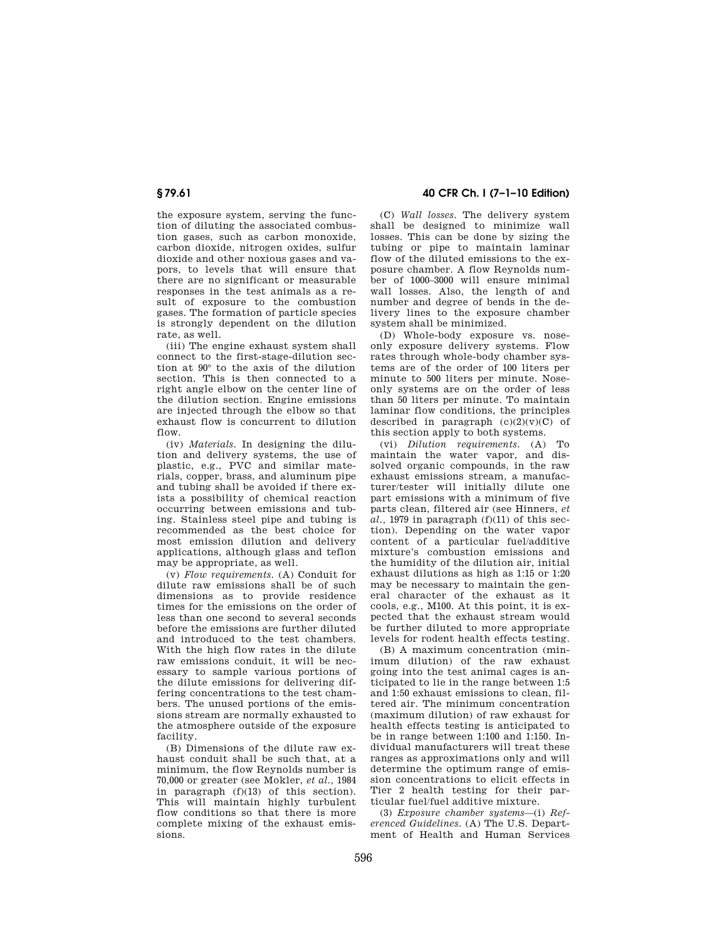the exposure system, serving the function of diluting the associated combustion gases, such as carbon monoxide, carbon dioxide, nitrogen oxides, sulfur dioxide and other noxious gases and vapors, to levels that will ensure that there are no significant or measurable responses in the test animals as a result of exposure to the combustion gases. The formation of particle species is strongly dependent on the dilution rate, as well.

(iii) The engine exhaust system shall connect to the first-stage-dilution section at 90° to the axis of the dilution section. This is then connected to a right angle elbow on the center line of the dilution section. Engine emissions are injected through the elbow so that exhaust flow is concurrent to dilution flow.

(iv) *Materials.* In designing the dilution and delivery systems, the use of plastic, e.g., PVC and similar materials, copper, brass, and aluminum pipe and tubing shall be avoided if there exists a possibility of chemical reaction occurring between emissions and tubing. Stainless steel pipe and tubing is recommended as the best choice for most emission dilution and delivery applications, although glass and teflon may be appropriate, as well.

(v) *Flow requirements.* (A) Conduit for dilute raw emissions shall be of such dimensions as to provide residence times for the emissions on the order of less than one second to several seconds before the emissions are further diluted and introduced to the test chambers. With the high flow rates in the dilute raw emissions conduit, it will be necessary to sample various portions of the dilute emissions for delivering differing concentrations to the test chambers. The unused portions of the emissions stream are normally exhausted to the atmosphere outside of the exposure facility.

(B) Dimensions of the dilute raw exhaust conduit shall be such that, at a minimum, the flow Reynolds number is 70,000 or greater (see Mokler, *et al.,* 1984 in paragraph (f)(13) of this section). This will maintain highly turbulent flow conditions so that there is more complete mixing of the exhaust emissions.

**§ 79.61 40 CFR Ch. I (7–1–10 Edition)** 

(C) *Wall losses.* The delivery system shall be designed to minimize wall losses. This can be done by sizing the tubing or pipe to maintain laminar flow of the diluted emissions to the exposure chamber. A flow Reynolds number of 1000–3000 will ensure minimal wall losses. Also, the length of and number and degree of bends in the delivery lines to the exposure chamber system shall be minimized.

(D) Whole-body exposure vs. noseonly exposure delivery systems. Flow rates through whole-body chamber systems are of the order of 100 liters per minute to 500 liters per minute. Noseonly systems are on the order of less than 50 liters per minute. To maintain laminar flow conditions, the principles described in paragraph  $(c)(2)(v)(C)$  of this section apply to both systems.

(vi) *Dilution requirements.* (A) To maintain the water vapor, and dissolved organic compounds, in the raw exhaust emissions stream, a manufacturer/tester will initially dilute one part emissions with a minimum of five parts clean, filtered air (see Hinners, *et*   $al.$ , 1979 in paragraph  $(f)(11)$  of this section). Depending on the water vapor content of a particular fuel/additive mixture's combustion emissions and the humidity of the dilution air, initial exhaust dilutions as high as 1:15 or 1:20 may be necessary to maintain the general character of the exhaust as it cools, e.g., M100. At this point, it is expected that the exhaust stream would be further diluted to more appropriate levels for rodent health effects testing.

(B) A maximum concentration (minimum dilution) of the raw exhaust going into the test animal cages is anticipated to lie in the range between 1:5 and 1:50 exhaust emissions to clean, filtered air. The minimum concentration (maximum dilution) of raw exhaust for health effects testing is anticipated to be in range between 1:100 and 1:150. Individual manufacturers will treat these ranges as approximations only and will determine the optimum range of emission concentrations to elicit effects in Tier 2 health testing for their particular fuel/fuel additive mixture.

(3) *Exposure chamber systems*—(i) *Referenced Guidelines.* (A) The U.S. Department of Health and Human Services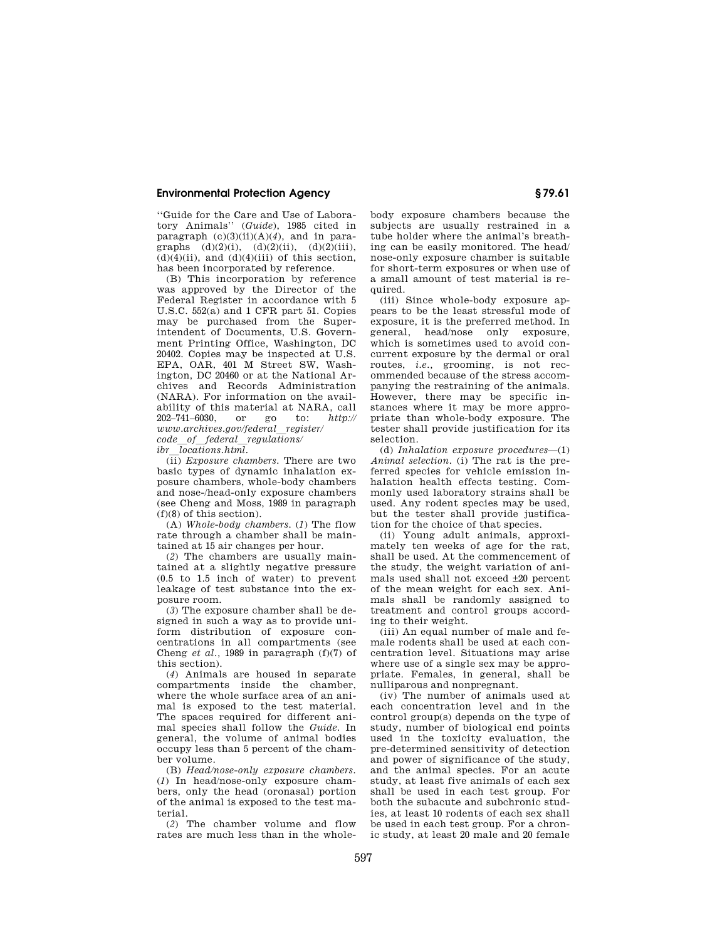''Guide for the Care and Use of Laboratory Animals'' (*Guide*), 1985 cited in paragraph  $(c)(3)(ii)(A)(4)$ , and in paragraphs  $(d)(2)(i)$ ,  $(d)(2)(ii)$ ,  $(d)(2)(iii)$ ,  $(d)(4)(ii)$ , and  $(d)(4)(iii)$  of this section. has been incorporated by reference.

(B) This incorporation by reference was approved by the Director of the Federal Register in accordance with 5 U.S.C. 552(a) and 1 CFR part 51. Copies may be purchased from the Superintendent of Documents, U.S. Government Printing Office, Washington, DC 20402. Copies may be inspected at U.S. EPA, OAR, 401 M Street SW, Washington, DC 20460 or at the National Archives and Records Administration (NARA). For information on the availability of this material at NARA, call 202–741–6030, or go to: *http:// www.archives.gov/federal*l*register/ code\_of\_federal\_regulations/*<br> *ibr locations.html.* 

*ibr*l*locations.html.*  (ii) *Exposure chambers.* There are two basic types of dynamic inhalation exposure chambers, whole-body chambers and nose-/head-only exposure chambers (see Cheng and Moss, 1989 in paragraph (f)(8) of this section).

(A) *Whole-body chambers.* (*1*) The flow rate through a chamber shall be maintained at 15 air changes per hour.

(*2*) The chambers are usually maintained at a slightly negative pressure (0.5 to 1.5 inch of water) to prevent leakage of test substance into the exposure room.

(*3*) The exposure chamber shall be designed in such a way as to provide uniform distribution of exposure concentrations in all compartments (see Cheng *et al.,* 1989 in paragraph (f)(7) of this section).

(*4*) Animals are housed in separate compartments inside the chamber, where the whole surface area of an animal is exposed to the test material. The spaces required for different animal species shall follow the *Guide.* In general, the volume of animal bodies occupy less than 5 percent of the chamber volume.

(B) *Head/nose-only exposure chambers.*  (*1*) In head/nose-only exposure chambers, only the head (oronasal) portion of the animal is exposed to the test material.

(*2*) The chamber volume and flow rates are much less than in the wholebody exposure chambers because the subjects are usually restrained in a tube holder where the animal's breathing can be easily monitored. The head/ nose-only exposure chamber is suitable for short-term exposures or when use of a small amount of test material is required.

(iii) Since whole-body exposure appears to be the least stressful mode of exposure, it is the preferred method. In<br>general head/nose only exposure general, head/nose only which is sometimes used to avoid concurrent exposure by the dermal or oral routes, *i.e.,* grooming, is not recommended because of the stress accompanying the restraining of the animals. However, there may be specific instances where it may be more appropriate than whole-body exposure. The tester shall provide justification for its selection.

(d) *Inhalation exposure procedures*—(1) *Animal selection.* (i) The rat is the preferred species for vehicle emission inhalation health effects testing. Commonly used laboratory strains shall be used. Any rodent species may be used, but the tester shall provide justification for the choice of that species.

(ii) Young adult animals, approximately ten weeks of age for the rat, shall be used. At the commencement of the study, the weight variation of animals used shall not exceed ±20 percent of the mean weight for each sex. Animals shall be randomly assigned to treatment and control groups according to their weight.

(iii) An equal number of male and female rodents shall be used at each concentration level. Situations may arise where use of a single sex may be appropriate. Females, in general, shall be nulliparous and nonpregnant.

(iv) The number of animals used at each concentration level and in the control group(s) depends on the type of study, number of biological end points used in the toxicity evaluation, the pre-determined sensitivity of detection and power of significance of the study, and the animal species. For an acute study, at least five animals of each sex shall be used in each test group. For both the subacute and subchronic studies, at least 10 rodents of each sex shall be used in each test group. For a chronic study, at least 20 male and 20 female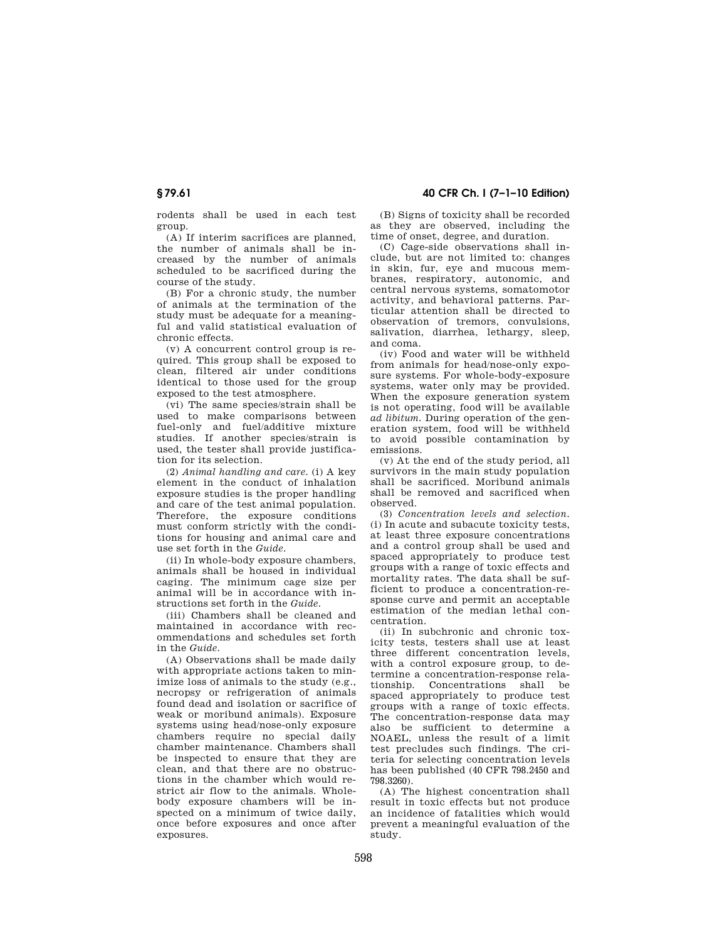rodents shall be used in each test group.

(A) If interim sacrifices are planned, the number of animals shall be increased by the number of animals scheduled to be sacrificed during the course of the study.

(B) For a chronic study, the number of animals at the termination of the study must be adequate for a meaningful and valid statistical evaluation of chronic effects.

(v) A concurrent control group is required. This group shall be exposed to clean, filtered air under conditions identical to those used for the group exposed to the test atmosphere.

(vi) The same species/strain shall be used to make comparisons between fuel-only and fuel/additive mixture studies. If another species/strain is used, the tester shall provide justification for its selection.

(2) *Animal handling and care.* (i) A key element in the conduct of inhalation exposure studies is the proper handling and care of the test animal population. Therefore, the exposure conditions must conform strictly with the conditions for housing and animal care and use set forth in the *Guide*.

(ii) In whole-body exposure chambers, animals shall be housed in individual caging. The minimum cage size per animal will be in accordance with instructions set forth in the *Guide.* 

(iii) Chambers shall be cleaned and maintained in accordance with recommendations and schedules set forth in the *Guide*.

(A) Observations shall be made daily with appropriate actions taken to minimize loss of animals to the study (e.g., necropsy or refrigeration of animals found dead and isolation or sacrifice of weak or moribund animals). Exposure systems using head/nose-only exposure chambers require no special daily chamber maintenance. Chambers shall be inspected to ensure that they are clean, and that there are no obstructions in the chamber which would restrict air flow to the animals. Wholebody exposure chambers will be inspected on a minimum of twice daily, once before exposures and once after exposures

(B) Signs of toxicity shall be recorded as they are observed, including the time of onset, degree, and duration.

(C) Cage-side observations shall include, but are not limited to: changes in skin, fur, eye and mucous membranes, respiratory, autonomic, and central nervous systems, somatomotor activity, and behavioral patterns. Particular attention shall be directed to observation of tremors, convulsions, salivation, diarrhea, lethargy, sleep, and coma.

(iv) Food and water will be withheld from animals for head/nose-only exposure systems. For whole-body-exposure systems, water only may be provided. When the exposure generation system is not operating, food will be available *ad libitum.* During operation of the generation system, food will be withheld to avoid possible contamination by emissions.

(v) At the end of the study period, all survivors in the main study population shall be sacrificed. Moribund animals shall be removed and sacrificed when observed.

(3) *Concentration levels and selection.*  (i) In acute and subacute toxicity tests, at least three exposure concentrations and a control group shall be used and spaced appropriately to produce test groups with a range of toxic effects and mortality rates. The data shall be sufficient to produce a concentration-response curve and permit an acceptable estimation of the median lethal concentration.

(ii) In subchronic and chronic toxicity tests, testers shall use at least three different concentration levels, with a control exposure group, to determine a concentration-response relationship. Concentrations shall be spaced appropriately to produce test groups with a range of toxic effects. The concentration-response data may also be sufficient to determine a NOAEL, unless the result of a limit test precludes such findings. The criteria for selecting concentration levels has been published (40 CFR 798.2450 and 798.3260).

(A) The highest concentration shall result in toxic effects but not produce an incidence of fatalities which would prevent a meaningful evaluation of the study.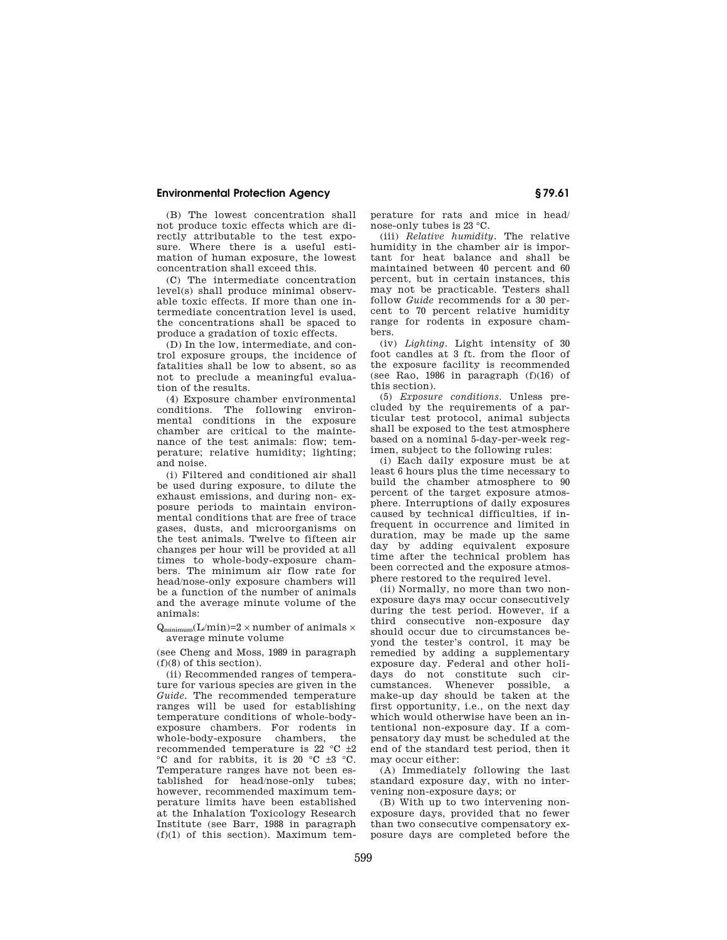(B) The lowest concentration shall not produce toxic effects which are directly attributable to the test exposure. Where there is a useful estimation of human exposure, the lowest concentration shall exceed this.

(C) The intermediate concentration level(s) shall produce minimal observable toxic effects. If more than one intermediate concentration level is used, the concentrations shall be spaced to produce a gradation of toxic effects.

(D) In the low, intermediate, and control exposure groups, the incidence of fatalities shall be low to absent, so as not to preclude a meaningful evaluation of the results.

(4) Exposure chamber environmental conditions. The following environmental conditions in the exposure chamber are critical to the maintenance of the test animals: flow; temperature; relative humidity; lighting; and noise.

(i) Filtered and conditioned air shall be used during exposure, to dilute the exhaust emissions, and during non- exposure periods to maintain environmental conditions that are free of trace gases, dusts, and microorganisms on the test animals. Twelve to fifteen air changes per hour will be provided at all times to whole-body-exposure chambers. The minimum air flow rate for head/nose-only exposure chambers will be a function of the number of animals and the average minute volume of the animals:

 $Q_{\text{minimum}}(L/\text{min})=2\times \text{number of animals}\times$ average minute volume

(see Cheng and Moss, 1989 in paragraph (f)(8) of this section).

(ii) Recommended ranges of temperature for various species are given in the *Guide.* The recommended temperature ranges will be used for establishing temperature conditions of whole-bodyexposure chambers. For rodents in whole-body-exposure chambers, the recommended temperature is 22 °C ±2 °C and for rabbits, it is 20 °C ±3 °C. Temperature ranges have not been established for head/nose-only tubes; however, recommended maximum temperature limits have been established at the Inhalation Toxicology Research Institute (see Barr, 1988 in paragraph  $(f)(1)$  of this section). Maximum temperature for rats and mice in head/ nose-only tubes is 23 °C.

(iii) *Relative humidity.* The relative humidity in the chamber air is important for heat balance and shall be maintained between 40 percent and 60 percent, but in certain instances, this may not be practicable. Testers shall follow *Guide* recommends for a 30 percent to 70 percent relative humidity range for rodents in exposure chambers.

(iv) *Lighting.* Light intensity of 30 foot candles at 3 ft. from the floor of the exposure facility is recommended (see Rao, 1986 in paragraph  $(f)(16)$  of this section).

(5) *Exposure conditions.* Unless precluded by the requirements of a particular test protocol, animal subjects shall be exposed to the test atmosphere based on a nominal 5-day-per-week regimen, subject to the following rules:

(i) Each daily exposure must be at least 6 hours plus the time necessary to build the chamber atmosphere to 90 percent of the target exposure atmosphere. Interruptions of daily exposures caused by technical difficulties, if infrequent in occurrence and limited in duration, may be made up the same day by adding equivalent exposure time after the technical problem has been corrected and the exposure atmosphere restored to the required level.

(ii) Normally, no more than two nonexposure days may occur consecutively during the test period. However, if a third consecutive non-exposure day should occur due to circumstances beyond the tester's control, it may be remedied by adding a supplementary exposure day. Federal and other holidays do not constitute such circumstances. Whenever possible, a make-up day should be taken at the first opportunity, i.e., on the next day which would otherwise have been an intentional non-exposure day. If a compensatory day must be scheduled at the end of the standard test period, then it may occur either:

(A) Immediately following the last standard exposure day, with no intervening non-exposure days; or

(B) With up to two intervening nonexposure days, provided that no fewer than two consecutive compensatory exposure days are completed before the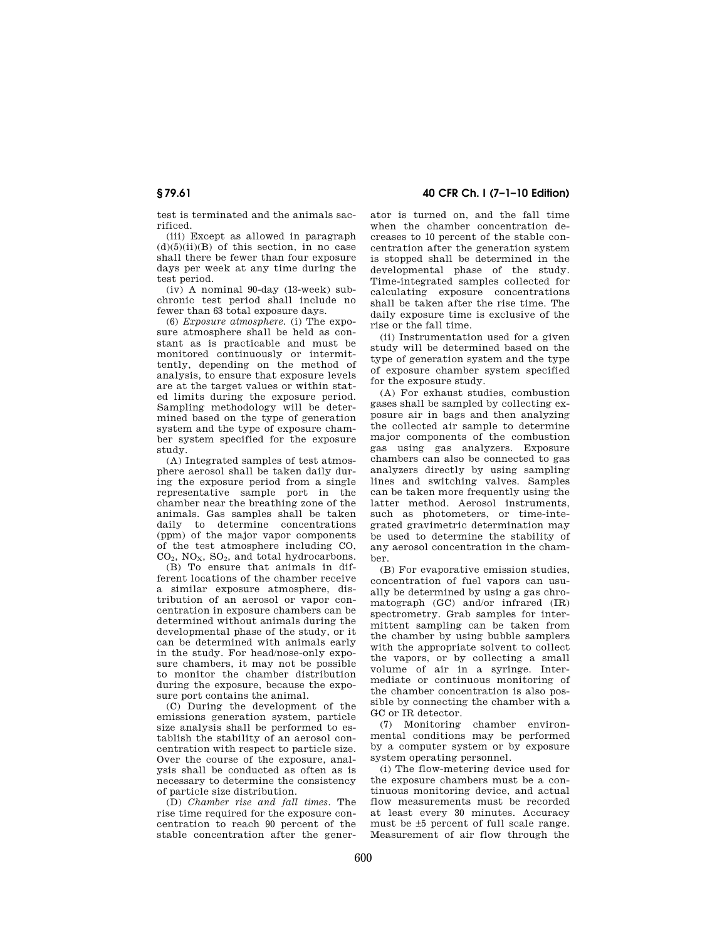test is terminated and the animals sacrificed.

(iii) Except as allowed in paragraph  $(d)(5)(ii)(B)$  of this section, in no case shall there be fewer than four exposure days per week at any time during the test period.

(iv) A nominal 90-day (13-week) subchronic test period shall include no fewer than 63 total exposure days.

(6) *Exposure atmosphere.* (i) The exposure atmosphere shall be held as constant as is practicable and must be monitored continuously or intermittently, depending on the method of analysis, to ensure that exposure levels are at the target values or within stated limits during the exposure period. Sampling methodology will be determined based on the type of generation system and the type of exposure chamber system specified for the exposure study.

(A) Integrated samples of test atmosphere aerosol shall be taken daily during the exposure period from a single representative sample port in the chamber near the breathing zone of the animals. Gas samples shall be taken daily to determine concentrations (ppm) of the major vapor components of the test atmosphere including CO,  $CO<sub>2</sub>$ , NO<sub>x</sub>, SO<sub>2</sub>, and total hydrocarbons.

(B) To ensure that animals in different locations of the chamber receive a similar exposure atmosphere, distribution of an aerosol or vapor concentration in exposure chambers can be determined without animals during the developmental phase of the study, or it can be determined with animals early in the study. For head/nose-only exposure chambers, it may not be possible to monitor the chamber distribution during the exposure, because the exposure port contains the animal.

(C) During the development of the emissions generation system, particle size analysis shall be performed to establish the stability of an aerosol concentration with respect to particle size. Over the course of the exposure, analysis shall be conducted as often as is necessary to determine the consistency of particle size distribution.

(D) *Chamber rise and fall times.* The rise time required for the exposure concentration to reach 90 percent of the stable concentration after the gener-

**§ 79.61 40 CFR Ch. I (7–1–10 Edition)** 

ator is turned on, and the fall time when the chamber concentration decreases to 10 percent of the stable concentration after the generation system is stopped shall be determined in the developmental phase of the study. Time-integrated samples collected for calculating exposure concentrations shall be taken after the rise time. The daily exposure time is exclusive of the rise or the fall time.

(ii) Instrumentation used for a given study will be determined based on the type of generation system and the type of exposure chamber system specified for the exposure study.

(A) For exhaust studies, combustion gases shall be sampled by collecting exposure air in bags and then analyzing the collected air sample to determine major components of the combustion gas using gas analyzers. Exposure chambers can also be connected to gas analyzers directly by using sampling lines and switching valves. Samples can be taken more frequently using the latter method. Aerosol instruments, such as photometers, or time-integrated gravimetric determination may be used to determine the stability of any aerosol concentration in the chamber.

(B) For evaporative emission studies, concentration of fuel vapors can usually be determined by using a gas chromatograph (GC) and/or infrared (IR) spectrometry. Grab samples for intermittent sampling can be taken from the chamber by using bubble samplers with the appropriate solvent to collect the vapors, or by collecting a small volume of air in a syringe. Intermediate or continuous monitoring of the chamber concentration is also possible by connecting the chamber with a GC or IR detector.

(7) Monitoring chamber environmental conditions may be performed by a computer system or by exposure system operating personnel.

(i) The flow-metering device used for the exposure chambers must be a continuous monitoring device, and actual flow measurements must be recorded at least every 30 minutes. Accuracy must be ±5 percent of full scale range. Measurement of air flow through the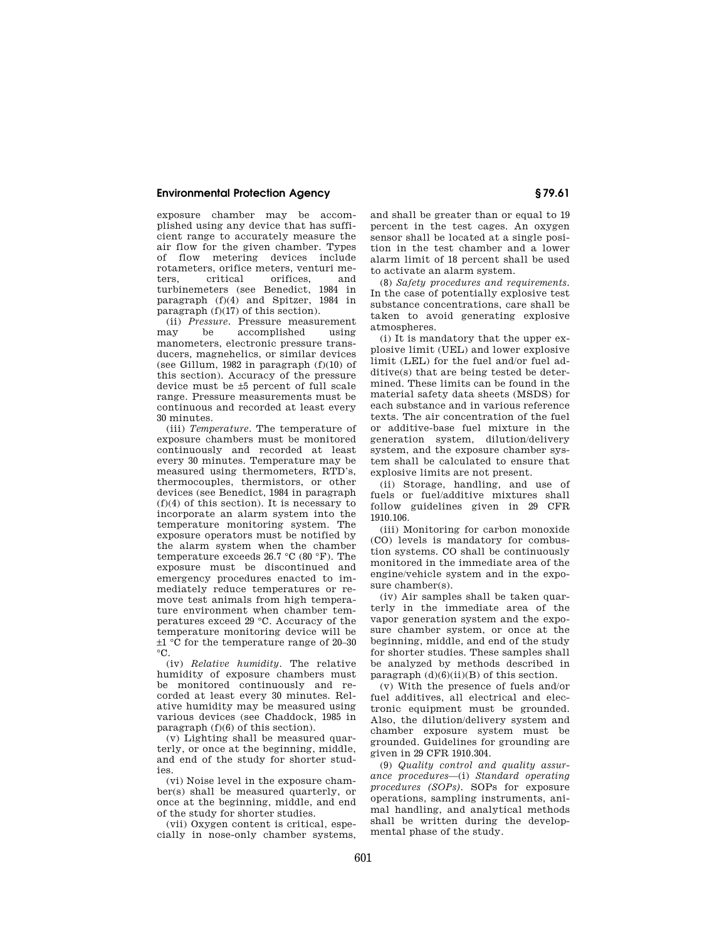exposure chamber may be accomplished using any device that has sufficient range to accurately measure the air flow for the given chamber. Types of flow metering devices include rotameters, orifice meters, venturi meorifices turbinemeters (see Benedict, 1984 in paragraph (f)(4) and Spitzer, 1984 in paragraph (f)(17) of this section).

(ii) *Pressure*. Pressure measurement<br>may be accomplished using accomplished manometers, electronic pressure transducers, magnehelics, or similar devices (see Gillum, 1982 in paragraph  $(f)(10)$  of this section). Accuracy of the pressure device must be ±5 percent of full scale range. Pressure measurements must be continuous and recorded at least every 30 minutes.

(iii) *Temperature.* The temperature of exposure chambers must be monitored continuously and recorded at least every 30 minutes. Temperature may be measured using thermometers, RTD's, thermocouples, thermistors, or other devices (see Benedict, 1984 in paragraph  $(f)(4)$  of this section). It is necessary to incorporate an alarm system into the temperature monitoring system. The exposure operators must be notified by the alarm system when the chamber temperature exceeds 26.7 °C (80 °F). The exposure must be discontinued and emergency procedures enacted to immediately reduce temperatures or remove test animals from high temperature environment when chamber temperatures exceed 29 °C. Accuracy of the temperature monitoring device will be ±1 °C for the temperature range of 20–30  $^{\circ}$ C.

(iv) *Relative humidity.* The relative humidity of exposure chambers must be monitored continuously and recorded at least every 30 minutes. Relative humidity may be measured using various devices (see Chaddock, 1985 in paragraph (f)(6) of this section).

(v) Lighting shall be measured quarterly, or once at the beginning, middle, and end of the study for shorter studies.

(vi) Noise level in the exposure chamber(s) shall be measured quarterly, or once at the beginning, middle, and end of the study for shorter studies.

(vii) Oxygen content is critical, especially in nose-only chamber systems, and shall be greater than or equal to 19 percent in the test cages. An oxygen sensor shall be located at a single position in the test chamber and a lower alarm limit of 18 percent shall be used to activate an alarm system.

(8) *Safety procedures and requirements.*  In the case of potentially explosive test substance concentrations, care shall be taken to avoid generating explosive atmospheres.

(i) It is mandatory that the upper explosive limit (UEL) and lower explosive limit (LEL) for the fuel and/or fuel additive(s) that are being tested be determined. These limits can be found in the material safety data sheets (MSDS) for each substance and in various reference texts. The air concentration of the fuel or additive-base fuel mixture in the generation system, dilution/delivery system, and the exposure chamber system shall be calculated to ensure that explosive limits are not present.

(ii) Storage, handling, and use of fuels or fuel/additive mixtures shall follow guidelines given in 29 CFR 1910.106.

(iii) Monitoring for carbon monoxide (CO) levels is mandatory for combustion systems. CO shall be continuously monitored in the immediate area of the engine/vehicle system and in the exposure chamber(s).

(iv) Air samples shall be taken quarterly in the immediate area of the vapor generation system and the exposure chamber system, or once at the beginning, middle, and end of the study for shorter studies. These samples shall be analyzed by methods described in paragraph  $(d)(6)(ii)(B)$  of this section.

(v) With the presence of fuels and/or fuel additives, all electrical and electronic equipment must be grounded. Also, the dilution/delivery system and chamber exposure system must be grounded. Guidelines for grounding are given in 29 CFR 1910.304.

(9) *Quality control and quality assurance procedures*—(i) *Standard operating procedures (SOPs).* SOPs for exposure operations, sampling instruments, animal handling, and analytical methods shall be written during the developmental phase of the study.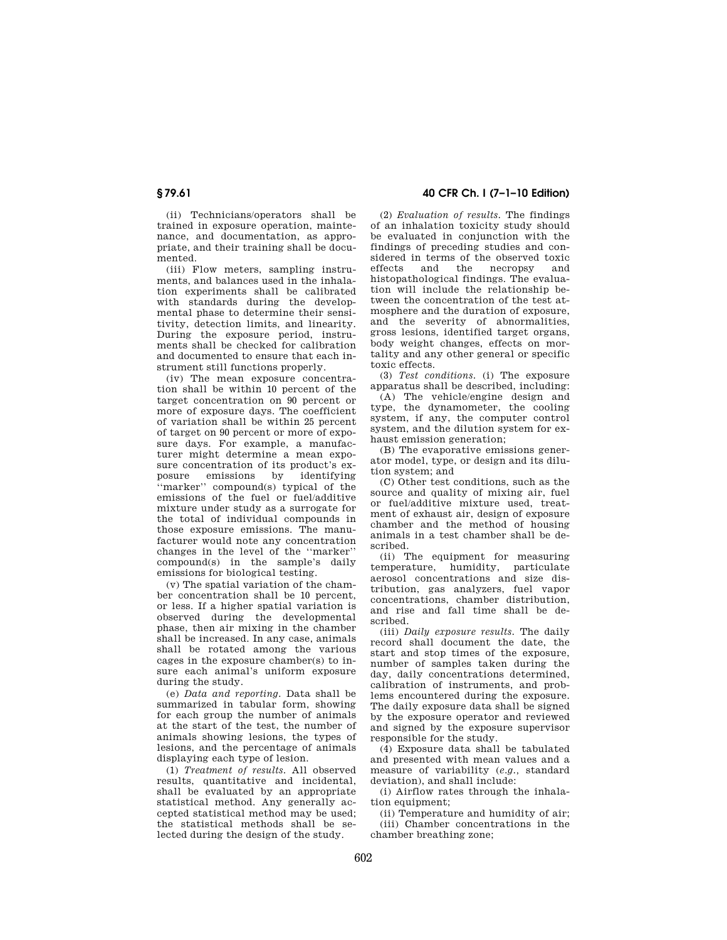(ii) Technicians/operators shall be trained in exposure operation, maintenance, and documentation, as appropriate, and their training shall be documented.

(iii) Flow meters, sampling instruments, and balances used in the inhalation experiments shall be calibrated with standards during the developmental phase to determine their sensitivity, detection limits, and linearity. During the exposure period, instruments shall be checked for calibration and documented to ensure that each instrument still functions properly.

(iv) The mean exposure concentration shall be within 10 percent of the target concentration on 90 percent or more of exposure days. The coefficient of variation shall be within 25 percent of target on 90 percent or more of exposure days. For example, a manufacturer might determine a mean exposure concentration of its product's ex-<br>posure emissions by identifying posure emissions ''marker'' compound(s) typical of the emissions of the fuel or fuel/additive mixture under study as a surrogate for the total of individual compounds in those exposure emissions. The manufacturer would note any concentration changes in the level of the ''marker'' compound(s) in the sample's daily emissions for biological testing.

(v) The spatial variation of the chamber concentration shall be 10 percent, or less. If a higher spatial variation is observed during the developmental phase, then air mixing in the chamber shall be increased. In any case, animals shall be rotated among the various cages in the exposure chamber(s) to insure each animal's uniform exposure during the study.

(e) *Data and reporting.* Data shall be summarized in tabular form, showing for each group the number of animals at the start of the test, the number of animals showing lesions, the types of lesions, and the percentage of animals displaying each type of lesion.

(1) *Treatment of results.* All observed results, quantitative and incidental, shall be evaluated by an appropriate statistical method. Any generally accepted statistical method may be used; the statistical methods shall be selected during the design of the study.

# **§ 79.61 40 CFR Ch. I (7–1–10 Edition)**

(2) *Evaluation of results.* The findings of an inhalation toxicity study should be evaluated in conjunction with the findings of preceding studies and considered in terms of the observed toxic effects and the necropsy and histopathological findings. The evaluation will include the relationship between the concentration of the test atmosphere and the duration of exposure, and the severity of abnormalities, gross lesions, identified target organs, body weight changes, effects on mortality and any other general or specific toxic effects.

(3) *Test conditions.* (i) The exposure apparatus shall be described, including:

(A) The vehicle/engine design and type, the dynamometer, the cooling system, if any, the computer control system, and the dilution system for exhaust emission generation;

(B) The evaporative emissions generator model, type, or design and its dilution system; and

(C) Other test conditions, such as the source and quality of mixing air, fuel or fuel/additive mixture used, treatment of exhaust air, design of exposure chamber and the method of housing animals in a test chamber shall be described.

(ii) The equipment for measuring temperature, humidity, particulate aerosol concentrations and size distribution, gas analyzers, fuel vapor concentrations, chamber distribution, and rise and fall time shall be described.

(iii) *Daily exposure results.* The daily record shall document the date, the start and stop times of the exposure, number of samples taken during the day, daily concentrations determined, calibration of instruments, and problems encountered during the exposure. The daily exposure data shall be signed by the exposure operator and reviewed and signed by the exposure supervisor responsible for the study.

(4) Exposure data shall be tabulated and presented with mean values and a measure of variability (*e.g.,* standard deviation), and shall include:

(i) Airflow rates through the inhalation equipment;

(ii) Temperature and humidity of air; (iii) Chamber concentrations in the chamber breathing zone;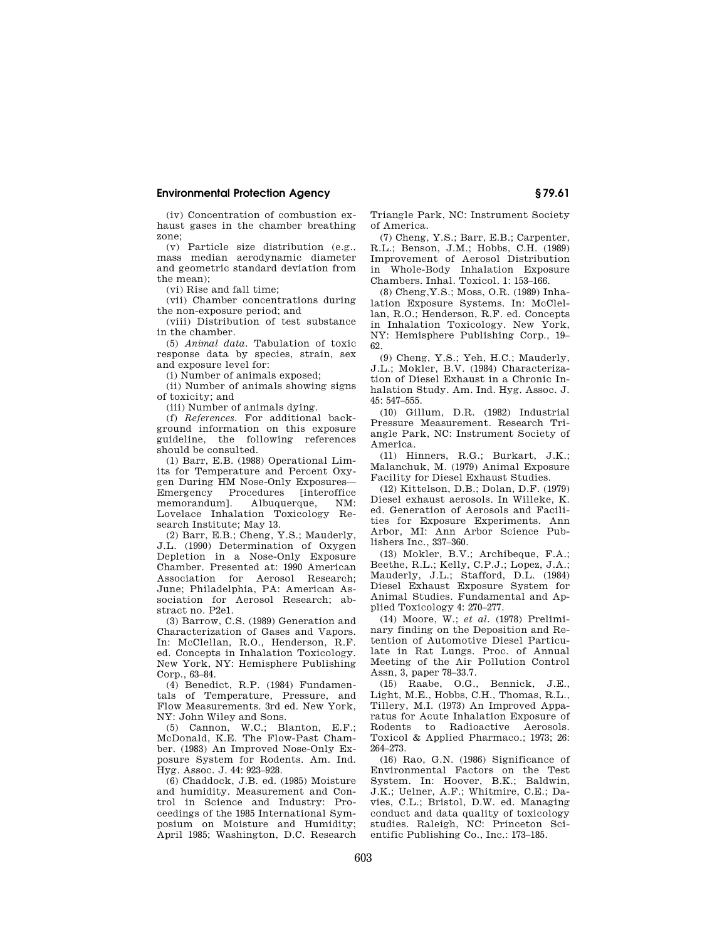(iv) Concentration of combustion exhaust gases in the chamber breathing zone;

(v) Particle size distribution (e.g., mass median aerodynamic diameter and geometric standard deviation from the mean);

(vi) Rise and fall time;

(vii) Chamber concentrations during the non-exposure period; and

(viii) Distribution of test substance in the chamber.

(5) *Animal data.* Tabulation of toxic response data by species, strain, sex and exposure level for:

(i) Number of animals exposed;

(ii) Number of animals showing signs of toxicity; and

(iii) Number of animals dying.

(f) *References.* For additional background information on this exposure guideline, the following references should be consulted.

(1) Barr, E.B. (1988) Operational Limits for Temperature and Percent Oxygen During HM Nose-Only Exposures— Emergency Procedures [interoffice memorandum]. Albuquerque, NM: Lovelace Inhalation Toxicology Research Institute; May 13.

(2) Barr, E.B.; Cheng, Y.S.; Mauderly, J.L. (1990) Determination of Oxygen Depletion in a Nose-Only Exposure Chamber. Presented at: 1990 American Association for Aerosol Research; June; Philadelphia, PA: American Association for Aerosol Research; abstract no. P2e1.

(3) Barrow, C.S. (1989) Generation and Characterization of Gases and Vapors. In: McClellan, R.O., Henderson, R.F. ed. Concepts in Inhalation Toxicology. New York, NY: Hemisphere Publishing Corp., 63–84.

(4) Benedict, R.P. (1984) Fundamentals of Temperature, Pressure, and Flow Measurements. 3rd ed. New York, NY: John Wiley and Sons.

(5) Cannon, W.C.; Blanton, E.F.; McDonald, K.E. The Flow-Past Chamber. (1983) An Improved Nose-Only Exposure System for Rodents. Am. Ind. Hyg. Assoc. J. 44: 923–928.

(6) Chaddock, J.B. ed. (1985) Moisture and humidity. Measurement and Control in Science and Industry: Proceedings of the 1985 International Symposium on Moisture and Humidity; April 1985; Washington, D.C. Research Triangle Park, NC: Instrument Society of America.

(7) Cheng, Y.S.; Barr, E.B.; Carpenter, R.L.; Benson, J.M.; Hobbs, C.H. (1989) Improvement of Aerosol Distribution in Whole-Body Inhalation Exposure Chambers. Inhal. Toxicol. 1: 153–166.

(8) Cheng,Y.S.; Moss, O.R. (1989) Inhalation Exposure Systems. In: McClellan, R.O.; Henderson, R.F. ed. Concepts in Inhalation Toxicology. New York, NY: Hemisphere Publishing Corp., 19– 62.

(9) Cheng, Y.S.; Yeh, H.C.; Mauderly, J.L.; Mokler, B.V. (1984) Characterization of Diesel Exhaust in a Chronic Inhalation Study. Am. Ind. Hyg. Assoc. J. 45: 547–555.

(10) Gillum, D.R. (1982) Industrial Pressure Measurement. Research Triangle Park, NC: Instrument Society of America.

(11) Hinners, R.G.; Burkart, J.K.; Malanchuk, M. (1979) Animal Exposure Facility for Diesel Exhaust Studies.

(12) Kittelson, D.B.; Dolan, D.F. (1979) Diesel exhaust aerosols. In Willeke, K. ed. Generation of Aerosols and Facilities for Exposure Experiments. Ann Arbor, MI: Ann Arbor Science Publishers Inc., 337–360.

(13) Mokler, B.V.; Archibeque, F.A.; Beethe, R.L.; Kelly, C.P.J.; Lopez, J.A.; Mauderly, J.L.; Stafford, D.L. (1984) Diesel Exhaust Exposure System for Animal Studies. Fundamental and Applied Toxicology 4: 270–277.

(14) Moore, W.; *et al.* (1978) Preliminary finding on the Deposition and Retention of Automotive Diesel Particulate in Rat Lungs. Proc. of Annual Meeting of the Air Pollution Control Assn, 3, paper 78–33.7.

(15) Raabe, O.G., Bennick, J.E., Light, M.E., Hobbs, C.H., Thomas, R.L., Tillery, M.I. (1973) An Improved Apparatus for Acute Inhalation Exposure of Rodents to Radioactive Aerosols. Toxicol & Applied Pharmaco.; 1973; 26: 264–273.

(16) Rao, G.N. (1986) Significance of Environmental Factors on the Test System. In: Hoover, B.K.; Baldwin, J.K.; Uelner, A.F.; Whitmire, C.E.; Davies, C.L.; Bristol, D.W. ed. Managing conduct and data quality of toxicology studies. Raleigh, NC: Princeton Scientific Publishing Co., Inc.: 173–185.